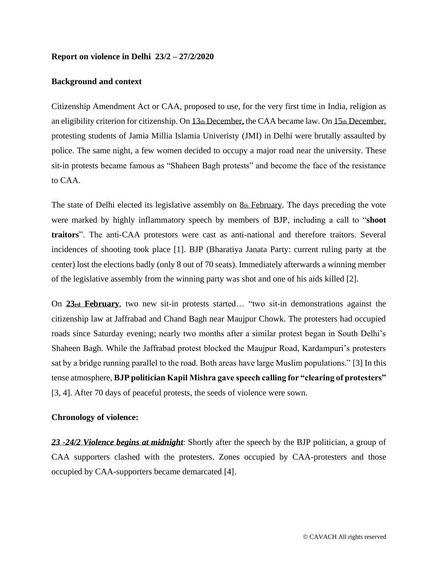#### **Report on violence in Delhi 23/2 – 27/2/2020**

### **Background and context**

Citizenship Amendment Act or CAA, proposed to use, for the very first time in India, religion as an eligibility criterion for citizenship. On 13th December, the CAA became law. On 15th December, protesting students of Jamia Millia Islamia Univeristy (JMI) in Delhi were brutally assaulted by police. The same night, a few women decided to occupy a major road near the university. These sit-in protests became famous as "Shaheen Bagh protests" and become the face of the resistance to CAA.

The state of Delhi elected its legislative assembly on  $g_{th}$  February. The days preceding the vote were marked by highly inflammatory speech by members of BJP, including a call to "**shoot traitors**". The anti-CAA protestors were cast as anti-national and therefore traitors. Several incidences of shooting took place [1]. BJP (Bharatiya Janata Party: current ruling party at the center) lost the elections badly (only 8 out of 70 seats). Immediately afterwards a winning member of the legislative assembly from the winning party was shot and one of his aids killed [2].

On **23rd February**, two new sit-in protests started… "two sit-in demonstrations against the citizenship law at Jaffrabad and Chand Bagh near Maujpur Chowk. The protesters had occupied roads since Saturday evening; nearly two months after a similar protest began in South Delhi's Shaheen Bagh. While the Jaffrabad protest blocked the Maujpur Road, Kardampuri's protesters sat by a bridge running parallel to the road. Both areas have large Muslim populations." [3] In this tense atmosphere, **BJP politician Kapil Mishra gave speech calling for "clearing of protesters"** [3, 4]. After 70 days of peaceful protests, the seeds of violence were sown.

### **Chronology of violence:**

*23 -24/2 Violence begins at midnight*: Shortly after the speech by the BJP politician, a group of CAA supporters clashed with the protesters. Zones occupied by CAA-protesters and those occupied by CAA-supporters became demarcated [4].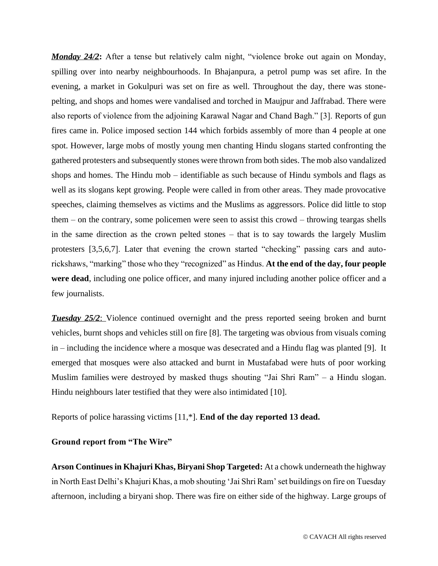**Monday 24/2**: After a tense but relatively calm night, "violence broke out again on Monday, spilling over into nearby neighbourhoods. In Bhajanpura, a petrol pump was [set afire.](https://www.indiatoday.in/india/story/bhajanpura-petrol-pump-fire-1649533-2020-02-24) In the evening, a market in Gokulpuri was set on fire as well. Throughout the day, there was stonepelting, and shops and homes were vandalised and torched in Maujpur and Jaffrabad. There were also reports of violence from the adjoining Karawal Nagar and Chand Bagh." [3]. Reports of gun fires came in. Police imposed section 144 which forbids assembly of more than 4 people at one spot. However, large mobs of mostly young men chanting Hindu slogans started confronting the gathered protesters and subsequently stones were thrown from both sides. The mob also vandalized shops and homes. The Hindu mob – identifiable as such because of Hindu symbols and flags as well as its slogans kept growing. People were called in from other areas. They made provocative speeches, claiming themselves as victims and the Muslims as aggressors. Police did little to stop them – on the contrary, some policemen were seen to assist this crowd – throwing teargas shells in the same direction as the crown pelted stones – that is to say towards the largely Muslim protesters [3,5,6,7]. Later that evening the crown started "checking" passing cars and autorickshaws, "marking" those who they "recognized" as Hindus. **At the end of the day, four people were dead**, including one police officer, and many injured including another police officer and a few journalists.

*Tuesday 25/2:* Violence continued overnight and the press reported seeing broken and burnt vehicles, burnt shops and vehicles still on fire [8]. The targeting was obvious from visuals coming in – including the incidence where a mosque was desecrated and a Hindu flag was planted [9]. It emerged that mosques were also attacked and burnt in Mustafabad were huts of poor working Muslim families were destroyed by masked thugs shouting "Jai Shri Ram" – a Hindu slogan. Hindu neighbours later testified that they were also intimidated [10].

Reports of police harassing victims [11,\*]. **End of the day reported 13 dead.**

## **Ground report from "The Wire"**

**[Arson Continues in Khajuri Khas, Biryani Shop Targeted:](https://vsx45j1n.r.us-west-2.awstrack.me/L0/https:%2F%2Fthewire.in%2Fcommunalism%2Fdelhi-violence-violence-continues-in-khajuri-khas-biryani-shop-targeted/2/010101707ca82195-76048e65-8c42-4035-a454-27a881ebe31d-000000/fyBiVS8wZDtaAeLKX_3X-Ay0XYo=151)** At a chowk underneath the highway in North East Delhi's Khajuri Khas, a mob shouting 'Jai Shri Ram' set buildings on fire on Tuesday afternoon, including a biryani shop. There was fire on either side of the highway. Large groups of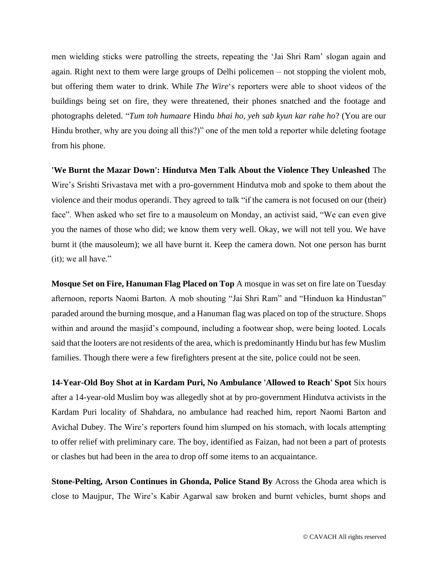men wielding sticks were patrolling the streets, repeating the 'Jai Shri Ram' slogan again and again. Right next to them were large groups of Delhi policemen – not stopping the violent mob, but offering them water to drink. While *The Wire*'s reporters were able to shoot videos of the buildings being set on fire, they were threatened, their phones snatched and the footage and photographs deleted. "*Tum toh humaare* Hindu *bhai ho, yeh sab kyun kar rahe ho*? (You are our Hindu brother, why are you doing all this?)" one of the men told a reporter while deleting footage from his phone.

**['We Burnt the Mazar Down': Hindutva Men Talk About the Violence They Unleashed](https://vsx45j1n.r.us-west-2.awstrack.me/L0/https:%2F%2Fthewire.in%2Fcommunalism%2Fdelhi-violence-hindutva-mazar-burnt/2/010101707ca82195-76048e65-8c42-4035-a454-27a881ebe31d-000000/giNh9Ak8SWIHenDEtuPrwpxPM2s=151)** The Wire's Srishti Srivastava met with a pro-government Hindutva mob and spoke to them about the violence and their modus operandi. They agreed to talk "if the camera is not focused on our (their) face". When asked who set fire to a mausoleum on Monday, an activist said, "We can even give you the names of those who did; we know them very well. Okay, we will not tell you. We have burnt it (the mausoleum); we all have burnt it. Keep the camera down. Not one person has burnt (it); we all have."

**[Mosque Set on Fire, Hanuman Flag Placed on Top](https://vsx45j1n.r.us-west-2.awstrack.me/L0/https:%2F%2Fthewire.in%2Fcommunalism%2Fdelhi-violence-mosque-set-on-fire-in-ashok-vihar-hanuman-flag-placed-on-top/2/010101707ca82195-76048e65-8c42-4035-a454-27a881ebe31d-000000/duoWi__Jfts9mOWWePzi5p4sUS4=151)** A mosque in was set on fire late on Tuesday afternoon, reports Naomi Barton. A mob shouting "Jai Shri Ram" and "Hinduon ka Hindustan" paraded around the burning mosque, and a Hanuman flag was placed on top of the structure. Shops within and around the masjid's compound, including a footwear shop, were being looted. Locals said that the looters are not residents of the area, which is predominantly Hindu but has few Muslim families. Though there were a few firefighters present at the site, police could not be seen.

**[14-Year-Old Boy Shot at in Kardam Puri, No Ambulance 'Allowed to Reach' Spot](https://vsx45j1n.r.us-west-2.awstrack.me/L0/https:%2F%2Fthewire.in%2Fcommunalism%2Fnorth-east-delhi-violence-boy-shot/2/010101707ca82195-76048e65-8c42-4035-a454-27a881ebe31d-000000/SdZqB1EN0_vKgBkrgi_QLoEjpD4=151)** Six hours after a 14-year-old Muslim boy was allegedly shot at by pro-government Hindutva activists in the Kardam Puri locality of Shahdara, no ambulance had reached him, report Naomi Barton and Avichal Dubey. The Wire's reporters found him slumped on his stomach, with locals attempting to offer relief with preliminary care. The boy, identified as Faizan, had not been a part of protests or clashes but had been in the area to drop off some items to an acquaintance.

**[Stone-Pelting, Arson Continues in Ghonda, Police Stand By](https://vsx45j1n.r.us-west-2.awstrack.me/L0/https:%2F%2Fthewire.in%2Fcommunalism%2Fdelhi-violence-ghonda-maujpur-arson-live/2/010101707ca82195-76048e65-8c42-4035-a454-27a881ebe31d-000000/ldF1llcsQm_enu3DSaia3IkhN5g=151)** Across the Ghoda area which is close to Maujpur, The Wire's Kabir Agarwal saw broken and burnt vehicles, burnt shops and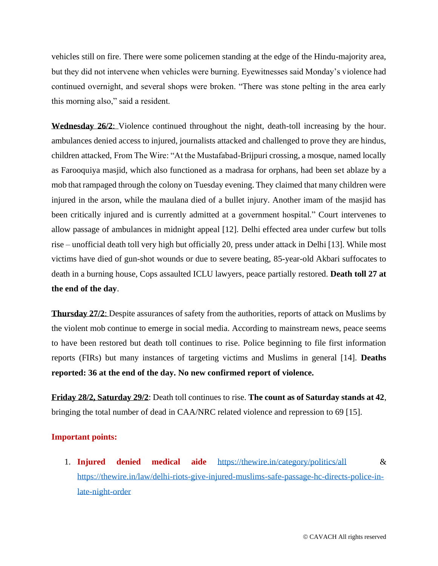vehicles still on fire. There were some policemen standing at the edge of the Hindu-majority area, but they did not intervene when vehicles were burning. Eyewitnesses said Monday's violence had continued overnight, and several shops were broken. "There was stone pelting in the area early this morning also," said a resident.

**Wednesday 26/2**: Violence continued throughout the night, death-toll increasing by the hour. ambulances denied access to injured, journalists attacked and challenged to prove they are hindus, children attacked, From The Wire: "At the Mustafabad-Brijpuri crossing, a mosque, named locally as Farooquiya masjid, which also functioned as a madrasa for orphans, had been set ablaze by a mob that rampaged through the colony on Tuesday evening. They claimed that many children were injured in the arson, while the maulana died of a bullet injury. Another imam of the masjid has been critically injured and is currently admitted at a government hospital." Court intervenes to allow passage of ambulances in midnight appeal [12]. Delhi effected area under curfew but tolls rise – unofficial death toll very high but officially 20, press under attack in Delhi [13]. While most victims have died of gun-shot wounds or due to severe beating, 85-year-old Akbari suffocates to death in a burning house, Cops assaulted ICLU lawyers, peace partially restored. **Death toll 27 at the end of the day**.

**Thursday 27/2**: Despite assurances of safety from the authorities, reports of attack on Muslims by the violent mob continue to emerge in social media. According to mainstream news, peace seems to have been restored but death toll continues to rise. Police beginning to file first information reports (FIRs) but many instances of targeting victims and Muslims in general [14]. **Deaths reported: 36 at the end of the day. No new confirmed report of violence.**

**Friday 28/2, Saturday 29/2**: Death toll continues to rise. **The count as of Saturday stands at 42**, bringing the total number of dead in CAA/NRC related violence and repression to 69 [15].

#### **Important points:**

1. **Injured denied medical aide** <https://thewire.in/category/politics/all> & [https://thewire.in/law/delhi-riots-give-injured-muslims-safe-passage-hc-directs-police-in](https://thewire.in/law/delhi-riots-give-injured-muslims-safe-passage-hc-directs-police-in-late-night-order)[late-night-order](https://thewire.in/law/delhi-riots-give-injured-muslims-safe-passage-hc-directs-police-in-late-night-order)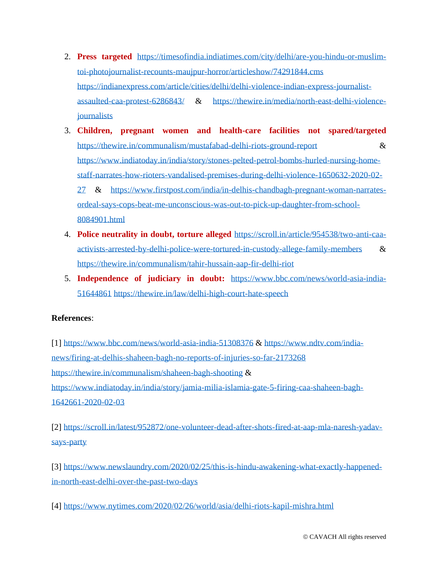- 2. **Press targeted** [https://timesofindia.indiatimes.com/city/delhi/are-you-hindu-or-muslim](https://timesofindia.indiatimes.com/city/delhi/are-you-hindu-or-muslim-toi-photojournalist-recounts-maujpur-horror/articleshow/74291844.cms)[toi-photojournalist-recounts-maujpur-horror/articleshow/74291844.cms](https://timesofindia.indiatimes.com/city/delhi/are-you-hindu-or-muslim-toi-photojournalist-recounts-maujpur-horror/articleshow/74291844.cms) [https://indianexpress.com/article/cities/delhi/delhi-violence-indian-express-journalist](https://indianexpress.com/article/cities/delhi/delhi-violence-indian-express-journalist-assaulted-caa-protest-6286843/)[assaulted-caa-protest-6286843/](https://indianexpress.com/article/cities/delhi/delhi-violence-indian-express-journalist-assaulted-caa-protest-6286843/) & [https://thewire.in/media/north-east-delhi-violence](https://thewire.in/media/north-east-delhi-violence-journalists)**[journalists](https://thewire.in/media/north-east-delhi-violence-journalists)**
- 3. **Children, pregnant women and health-care facilities not spared/targeted** <https://thewire.in/communalism/mustafabad-delhi-riots-ground-report> & [https://www.indiatoday.in/india/story/stones-pelted-petrol-bombs-hurled-nursing-home](https://www.indiatoday.in/india/story/stones-pelted-petrol-bombs-hurled-nursing-home-staff-narrates-how-rioters-vandalised-premises-during-delhi-violence-1650632-2020-02-27)[staff-narrates-how-rioters-vandalised-premises-during-delhi-violence-1650632-2020-02-](https://www.indiatoday.in/india/story/stones-pelted-petrol-bombs-hurled-nursing-home-staff-narrates-how-rioters-vandalised-premises-during-delhi-violence-1650632-2020-02-27) [27](https://www.indiatoday.in/india/story/stones-pelted-petrol-bombs-hurled-nursing-home-staff-narrates-how-rioters-vandalised-premises-during-delhi-violence-1650632-2020-02-27) & [https://www.firstpost.com/india/in-delhis-chandbagh-pregnant-woman-narrates](https://www.firstpost.com/india/in-delhis-chandbagh-pregnant-woman-narrates-ordeal-says-cops-beat-me-unconscious-was-out-to-pick-up-daughter-from-school-8084901.html)[ordeal-says-cops-beat-me-unconscious-was-out-to-pick-up-daughter-from-school-](https://www.firstpost.com/india/in-delhis-chandbagh-pregnant-woman-narrates-ordeal-says-cops-beat-me-unconscious-was-out-to-pick-up-daughter-from-school-8084901.html)[8084901.html](https://www.firstpost.com/india/in-delhis-chandbagh-pregnant-woman-narrates-ordeal-says-cops-beat-me-unconscious-was-out-to-pick-up-daughter-from-school-8084901.html)
- 4. **Police neutrality in doubt, torture alleged** [https://scroll.in/article/954538/two-anti-caa](https://scroll.in/article/954538/two-anti-caa-activists-arrested-by-delhi-police-were-tortured-in-custody-allege-family-members)[activists-arrested-by-delhi-police-were-tortured-in-custody-allege-family-members](https://scroll.in/article/954538/two-anti-caa-activists-arrested-by-delhi-police-were-tortured-in-custody-allege-family-members) & <https://thewire.in/communalism/tahir-hussain-aap-fir-delhi-riot>
- 5. **Independence of judiciary in doubt:** [https://www.bbc.com/news/world-asia-india-](https://www.bbc.com/news/world-asia-india-51644861)[51644861](https://www.bbc.com/news/world-asia-india-51644861) <https://thewire.in/law/delhi-high-court-hate-speech>

# **References**:

[1]<https://www.bbc.com/news/world-asia-india-51308376> & [https://www.ndtv.com/india](https://www.ndtv.com/india-news/firing-at-delhis-shaheen-bagh-no-reports-of-injuries-so-far-2173268)[news/firing-at-delhis-shaheen-bagh-no-reports-of-injuries-so-far-2173268](https://www.ndtv.com/india-news/firing-at-delhis-shaheen-bagh-no-reports-of-injuries-so-far-2173268) <https://thewire.in/communalism/shaheen-bagh-shooting> & [https://www.indiatoday.in/india/story/jamia-milia-islamia-gate-5-firing-caa-shaheen-bagh-](https://www.indiatoday.in/india/story/jamia-milia-islamia-gate-5-firing-caa-shaheen-bagh-1642661-2020-02-03)[1642661-2020-02-03](https://www.indiatoday.in/india/story/jamia-milia-islamia-gate-5-firing-caa-shaheen-bagh-1642661-2020-02-03)

[2] [https://scroll.in/latest/952872/one-volunteer-dead-after-shots-fired-at-aap-mla-naresh-yadav](https://scroll.in/latest/952872/one-volunteer-dead-after-shots-fired-at-aap-mla-naresh-yadav-says-party)[says-party](https://scroll.in/latest/952872/one-volunteer-dead-after-shots-fired-at-aap-mla-naresh-yadav-says-party)

[3] [https://www.newslaundry.com/2020/02/25/this-is-hindu-awakening-what-exactly-happened](https://www.newslaundry.com/2020/02/25/this-is-hindu-awakening-what-exactly-happened-in-north-east-delhi-over-the-past-two-days)[in-north-east-delhi-over-the-past-two-days](https://www.newslaundry.com/2020/02/25/this-is-hindu-awakening-what-exactly-happened-in-north-east-delhi-over-the-past-two-days)

[4]<https://www.nytimes.com/2020/02/26/world/asia/delhi-riots-kapil-mishra.html>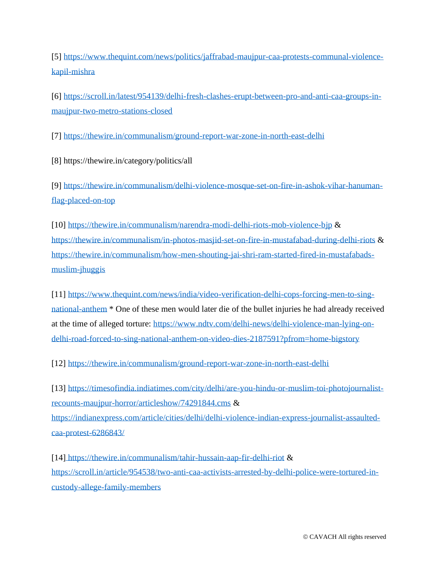[5] [https://www.thequint.com/news/politics/jaffrabad-maujpur-caa-protests-communal-violence](https://www.thequint.com/news/politics/jaffrabad-maujpur-caa-protests-communal-violence-kapil-mishra)[kapil-mishra](https://www.thequint.com/news/politics/jaffrabad-maujpur-caa-protests-communal-violence-kapil-mishra)

[6] [https://scroll.in/latest/954139/delhi-fresh-clashes-erupt-between-pro-and-anti-caa-groups-in](https://scroll.in/latest/954139/delhi-fresh-clashes-erupt-between-pro-and-anti-caa-groups-in-maujpur-two-metro-stations-closed)[maujpur-two-metro-stations-closed](https://scroll.in/latest/954139/delhi-fresh-clashes-erupt-between-pro-and-anti-caa-groups-in-maujpur-two-metro-stations-closed)

[7]<https://thewire.in/communalism/ground-report-war-zone-in-north-east-delhi>

[8] https://thewire.in/category/politics/all

[9] [https://thewire.in/communalism/delhi-violence-mosque-set-on-fire-in-ashok-vihar-hanuman](https://thewire.in/communalism/delhi-violence-mosque-set-on-fire-in-ashok-vihar-hanuman-flag-placed-on-top)[flag-placed-on-top](https://thewire.in/communalism/delhi-violence-mosque-set-on-fire-in-ashok-vihar-hanuman-flag-placed-on-top)

[10]<https://thewire.in/communalism/narendra-modi-delhi-riots-mob-violence-bjp> & <https://thewire.in/communalism/in-photos-masjid-set-on-fire-in-mustafabad-during-delhi-riots> & [https://thewire.in/communalism/how-men-shouting-jai-shri-ram-started-fired-in-mustafabads](https://thewire.in/communalism/how-men-shouting-jai-shri-ram-started-fired-in-mustafabads-muslim-jhuggis)[muslim-jhuggis](https://thewire.in/communalism/how-men-shouting-jai-shri-ram-started-fired-in-mustafabads-muslim-jhuggis)

[11] [https://www.thequint.com/news/india/video-verification-delhi-cops-forcing-men-to-sing](https://www.thequint.com/news/india/video-verification-delhi-cops-forcing-men-to-sing-national-anthem)[national-anthem](https://www.thequint.com/news/india/video-verification-delhi-cops-forcing-men-to-sing-national-anthem) \* One of these men would later die of the bullet injuries he had already received at the time of alleged torture: [https://www.ndtv.com/delhi-news/delhi-violence-man-lying-on](https://www.ndtv.com/delhi-news/delhi-violence-man-lying-on-delhi-road-forced-to-sing-national-anthem-on-video-dies-2187591?pfrom=home-bigstory)[delhi-road-forced-to-sing-national-anthem-on-video-dies-2187591?pfrom=home-bigstory](https://www.ndtv.com/delhi-news/delhi-violence-man-lying-on-delhi-road-forced-to-sing-national-anthem-on-video-dies-2187591?pfrom=home-bigstory)

[12] <https://thewire.in/communalism/ground-report-war-zone-in-north-east-delhi>

[13] [https://timesofindia.indiatimes.com/city/delhi/are-you-hindu-or-muslim-toi-photojournalist](https://timesofindia.indiatimes.com/city/delhi/are-you-hindu-or-muslim-toi-photojournalist-recounts-maujpur-horror/articleshow/74291844.cms)[recounts-maujpur-horror/articleshow/74291844.cms](https://timesofindia.indiatimes.com/city/delhi/are-you-hindu-or-muslim-toi-photojournalist-recounts-maujpur-horror/articleshow/74291844.cms) & [https://indianexpress.com/article/cities/delhi/delhi-violence-indian-express-journalist-assaulted](https://indianexpress.com/article/cities/delhi/delhi-violence-indian-express-journalist-assaulted-caa-protest-6286843/)[caa-protest-6286843/](https://indianexpress.com/article/cities/delhi/delhi-violence-indian-express-journalist-assaulted-caa-protest-6286843/)

[14] <https://thewire.in/communalism/tahir-hussain-aap-fir-delhi-riot> & [https://scroll.in/article/954538/two-anti-caa-activists-arrested-by-delhi-police-were-tortured-in](https://scroll.in/article/954538/two-anti-caa-activists-arrested-by-delhi-police-were-tortured-in-custody-allege-family-members)[custody-allege-family-members](https://scroll.in/article/954538/two-anti-caa-activists-arrested-by-delhi-police-were-tortured-in-custody-allege-family-members)